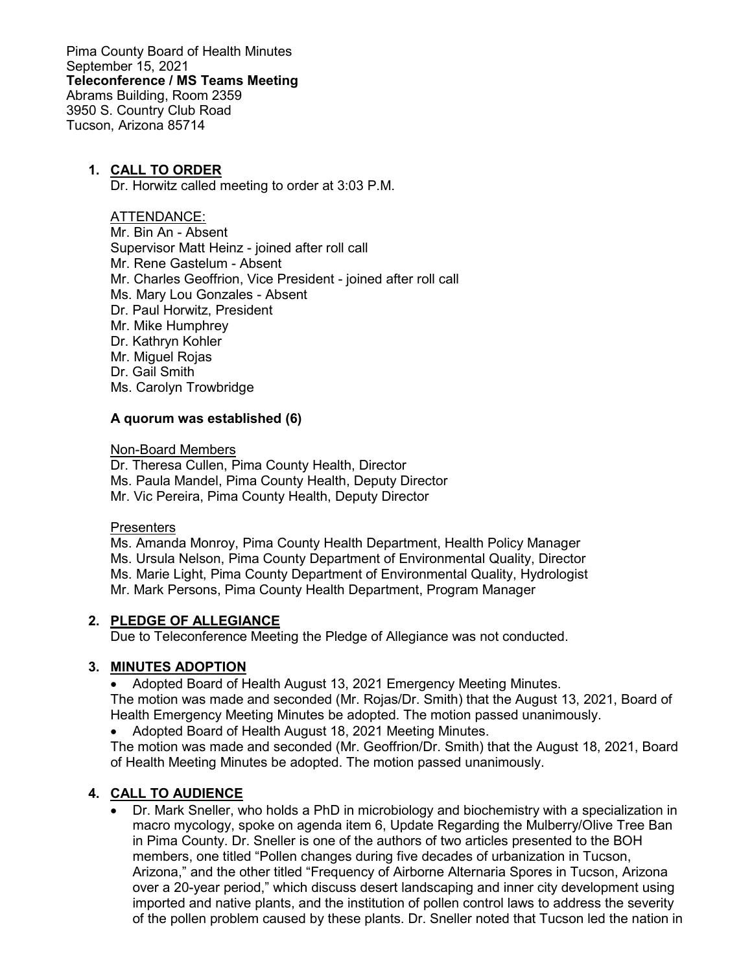Pima County Board of Health Minutes September 15, 2021 **Teleconference / MS Teams Meeting** Abrams Building, Room 2359 3950 S. Country Club Road Tucson, Arizona 85714

### **1. CALL TO ORDER**

Dr. Horwitz called meeting to order at 3:03 P.M.

### ATTENDANCE:

Mr. Bin An - Absent Supervisor Matt Heinz - joined after roll call Mr. Rene Gastelum - Absent Mr. Charles Geoffrion, Vice President - joined after roll call Ms. Mary Lou Gonzales - Absent Dr. Paul Horwitz, President Mr. Mike Humphrey Dr. Kathryn Kohler Mr. Miguel Rojas Dr. Gail Smith Ms. Carolyn Trowbridge

### **A quorum was established (6)**

Non-Board Members

Dr. Theresa Cullen, Pima County Health, Director Ms. Paula Mandel, Pima County Health, Deputy Director Mr. Vic Pereira, Pima County Health, Deputy Director

### **Presenters**

Ms. Amanda Monroy, Pima County Health Department, Health Policy Manager Ms. Ursula Nelson, Pima County Department of Environmental Quality, Director Ms. Marie Light, Pima County Department of Environmental Quality, Hydrologist Mr. Mark Persons, Pima County Health Department, Program Manager

### **2. PLEDGE OF ALLEGIANCE**

Due to Teleconference Meeting the Pledge of Allegiance was not conducted.

### **3. MINUTES ADOPTION**

• Adopted Board of Health August 13, 2021 Emergency Meeting Minutes. The motion was made and seconded (Mr. Rojas/Dr. Smith) that the August 13, 2021, Board of Health Emergency Meeting Minutes be adopted. The motion passed unanimously.

• Adopted Board of Health August 18, 2021 Meeting Minutes.

The motion was made and seconded (Mr. Geoffrion/Dr. Smith) that the August 18, 2021, Board of Health Meeting Minutes be adopted. The motion passed unanimously.

### **4. CALL TO AUDIENCE**

• Dr. Mark Sneller, who holds a PhD in microbiology and biochemistry with a specialization in macro mycology, spoke on agenda item 6, Update Regarding the Mulberry/Olive Tree Ban in Pima County. Dr. Sneller is one of the authors of two articles presented to the BOH members, one titled "Pollen changes during five decades of urbanization in Tucson, Arizona," and the other titled "Frequency of Airborne Alternaria Spores in Tucson, Arizona over a 20-year period," which discuss desert landscaping and inner city development using imported and native plants, and the institution of pollen control laws to address the severity of the pollen problem caused by these plants. Dr. Sneller noted that Tucson led the nation in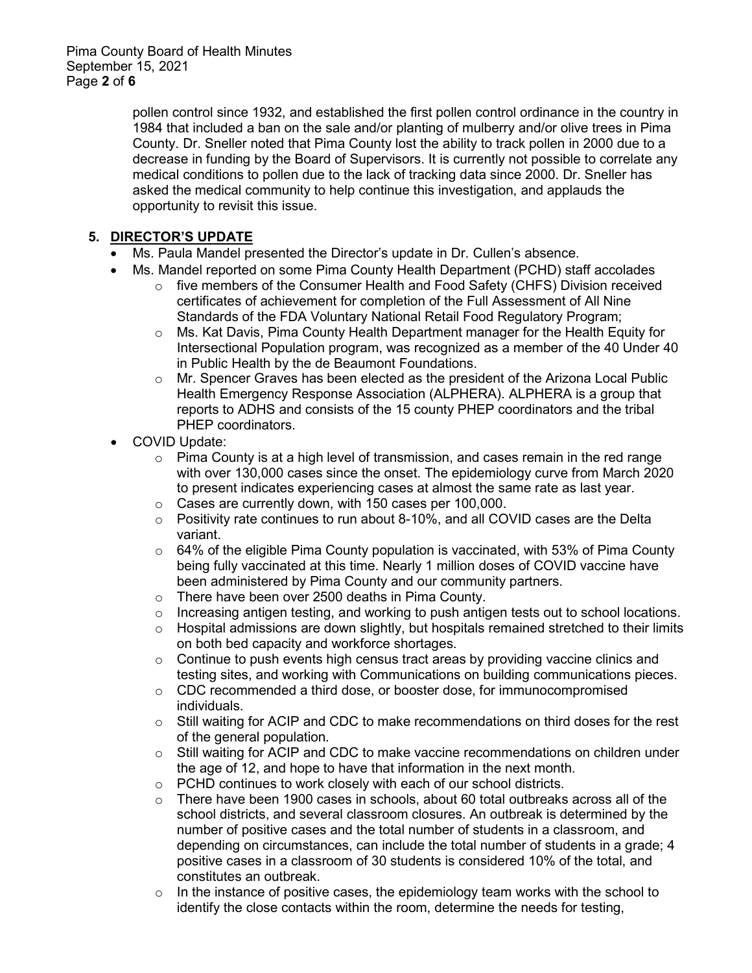pollen control since 1932, and established the first pollen control ordinance in the country in 1984 that included a ban on the sale and/or planting of mulberry and/or olive trees in Pima County. Dr. Sneller noted that Pima County lost the ability to track pollen in 2000 due to a decrease in funding by the Board of Supervisors. It is currently not possible to correlate any medical conditions to pollen due to the lack of tracking data since 2000. Dr. Sneller has asked the medical community to help continue this investigation, and applauds the opportunity to revisit this issue.

# **5. DIRECTOR'S UPDATE**

- Ms. Paula Mandel presented the Director's update in Dr. Cullen's absence.
- Ms. Mandel reported on some Pima County Health Department (PCHD) staff accolades
	- o five members of the Consumer Health and Food Safety (CHFS) Division received certificates of achievement for completion of the Full Assessment of All Nine Standards of the FDA Voluntary National Retail Food Regulatory Program;
	- $\circ$  Ms. Kat Davis, Pima County Health Department manager for the Health Equity for Intersectional Population program, was recognized as a member of the 40 Under 40 in Public Health by the de Beaumont Foundations.
	- o Mr. Spencer Graves has been elected as the president of the Arizona Local Public Health Emergency Response Association (ALPHERA). ALPHERA is a group that reports to ADHS and consists of the 15 county PHEP coordinators and the tribal PHEP coordinators.
- COVID Update:
	- $\circ$  Pima County is at a high level of transmission, and cases remain in the red range with over 130,000 cases since the onset. The epidemiology curve from March 2020 to present indicates experiencing cases at almost the same rate as last year.
	- o Cases are currently down, with 150 cases per 100,000.
	- $\circ$  Positivity rate continues to run about 8-10%, and all COVID cases are the Delta variant.
	- $\circ$  64% of the eligible Pima County population is vaccinated, with 53% of Pima County being fully vaccinated at this time. Nearly 1 million doses of COVID vaccine have been administered by Pima County and our community partners.
	- o There have been over 2500 deaths in Pima County.
	- $\circ$  Increasing antigen testing, and working to push antigen tests out to school locations.<br>  $\circ$  Hospital admissions are down slightly, but hospitals remained stretched to their limits
	- Hospital admissions are down slightly, but hospitals remained stretched to their limits on both bed capacity and workforce shortages.
	- $\circ$  Continue to push events high census tract areas by providing vaccine clinics and testing sites, and working with Communications on building communications pieces.
	- $\circ$  CDC recommended a third dose, or booster dose, for immunocompromised individuals.
	- $\circ$  Still waiting for ACIP and CDC to make recommendations on third doses for the rest of the general population.
	- $\circ$  Still waiting for ACIP and CDC to make vaccine recommendations on children under the age of 12, and hope to have that information in the next month.
	- ⊙ PCHD continues to work closely with each of our school districts.<br>○ There have been 1900 cases in schools. about 60 total outbreaks
	- There have been 1900 cases in schools, about 60 total outbreaks across all of the school districts, and several classroom closures. An outbreak is determined by the number of positive cases and the total number of students in a classroom, and depending on circumstances, can include the total number of students in a grade; 4 positive cases in a classroom of 30 students is considered 10% of the total, and constitutes an outbreak.
	- $\circ$  In the instance of positive cases, the epidemiology team works with the school to identify the close contacts within the room, determine the needs for testing,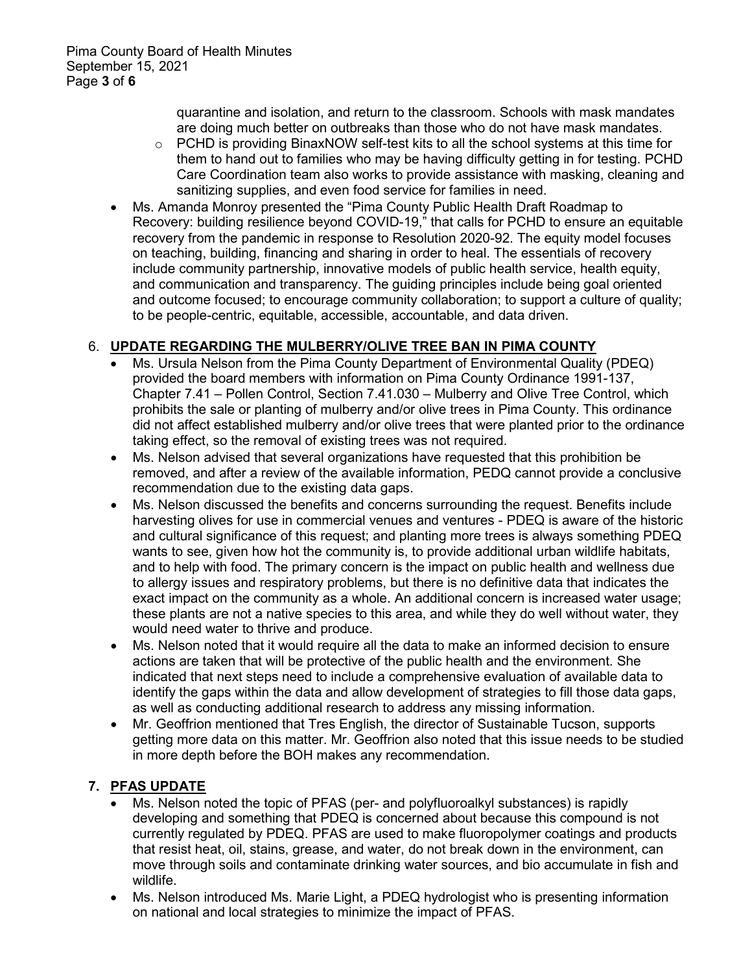quarantine and isolation, and return to the classroom. Schools with mask mandates are doing much better on outbreaks than those who do not have mask mandates.

- $\circ$  PCHD is providing BinaxNOW self-test kits to all the school systems at this time for them to hand out to families who may be having difficulty getting in for testing. PCHD Care Coordination team also works to provide assistance with masking, cleaning and sanitizing supplies, and even food service for families in need.
- Ms. Amanda Monroy presented the "Pima County Public Health Draft Roadmap to Recovery: building resilience beyond COVID-19," that calls for PCHD to ensure an equitable recovery from the pandemic in response to Resolution 2020-92. The equity model focuses on teaching, building, financing and sharing in order to heal. The essentials of recovery include community partnership, innovative models of public health service, health equity, and communication and transparency. The guiding principles include being goal oriented and outcome focused; to encourage community collaboration; to support a culture of quality; to be people-centric, equitable, accessible, accountable, and data driven.

## 6. **UPDATE REGARDING THE MULBERRY/OLIVE TREE BAN IN PIMA COUNTY**

- Ms. Ursula Nelson from the Pima County Department of Environmental Quality (PDEQ) provided the board members with information on Pima County Ordinance 1991-137, Chapter 7.41 – Pollen Control, Section 7.41.030 – Mulberry and Olive Tree Control, which prohibits the sale or planting of mulberry and/or olive trees in Pima County. This ordinance did not affect established mulberry and/or olive trees that were planted prior to the ordinance taking effect, so the removal of existing trees was not required.
- Ms. Nelson advised that several organizations have requested that this prohibition be removed, and after a review of the available information, PEDQ cannot provide a conclusive recommendation due to the existing data gaps.
- Ms. Nelson discussed the benefits and concerns surrounding the request. Benefits include harvesting olives for use in commercial venues and ventures - PDEQ is aware of the historic and cultural significance of this request; and planting more trees is always something PDEQ wants to see, given how hot the community is, to provide additional urban wildlife habitats, and to help with food. The primary concern is the impact on public health and wellness due to allergy issues and respiratory problems, but there is no definitive data that indicates the exact impact on the community as a whole. An additional concern is increased water usage; these plants are not a native species to this area, and while they do well without water, they would need water to thrive and produce.
- Ms. Nelson noted that it would require all the data to make an informed decision to ensure actions are taken that will be protective of the public health and the environment. She indicated that next steps need to include a comprehensive evaluation of available data to identify the gaps within the data and allow development of strategies to fill those data gaps, as well as conducting additional research to address any missing information.
- Mr. Geoffrion mentioned that Tres English, the director of Sustainable Tucson, supports getting more data on this matter. Mr. Geoffrion also noted that this issue needs to be studied in more depth before the BOH makes any recommendation.

## **7. PFAS UPDATE**

- Ms. Nelson noted the topic of PFAS (per- and polyfluoroalkyl substances) is rapidly developing and something that PDEQ is concerned about because this compound is not currently regulated by PDEQ. PFAS are used to make fluoropolymer coatings and products that resist heat, oil, stains, grease, and water, do not break down in the environment, can move through soils and contaminate drinking water sources, and bio accumulate in fish and wildlife.
- Ms. Nelson introduced Ms. Marie Light, a PDEQ hydrologist who is presenting information on national and local strategies to minimize the impact of PFAS.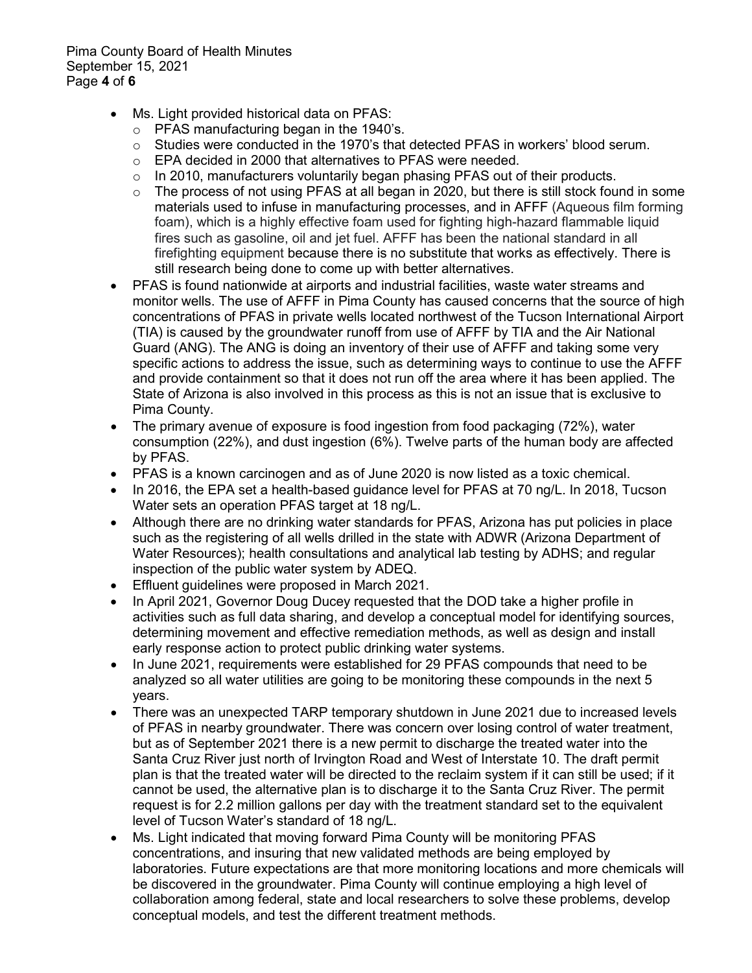Pima County Board of Health Minutes September 15, 2021 Page **4** of **6**

- Ms. Light provided historical data on PFAS:
	- o PFAS manufacturing began in the 1940's.
	- $\circ$  Studies were conducted in the 1970's that detected PFAS in workers' blood serum.
	- o EPA decided in 2000 that alternatives to PFAS were needed.
	- $\circ$  In 2010, manufacturers voluntarily began phasing PFAS out of their products.
	- $\circ$  The process of not using PFAS at all began in 2020, but there is still stock found in some materials used to infuse in manufacturing processes, and in AFFF (Aqueous film forming foam), which is a highly effective foam used for fighting high-hazard flammable liquid fires such as gasoline, oil and jet fuel. AFFF has been the national standard in all firefighting equipment because there is no substitute that works as effectively. There is still research being done to come up with better alternatives.
- PFAS is found nationwide at airports and industrial facilities, waste water streams and monitor wells. The use of AFFF in Pima County has caused concerns that the source of high concentrations of PFAS in private wells located northwest of the Tucson International Airport (TIA) is caused by the groundwater runoff from use of AFFF by TIA and the Air National Guard (ANG). The ANG is doing an inventory of their use of AFFF and taking some very specific actions to address the issue, such as determining ways to continue to use the AFFF and provide containment so that it does not run off the area where it has been applied. The State of Arizona is also involved in this process as this is not an issue that is exclusive to Pima County.
- The primary avenue of exposure is food ingestion from food packaging (72%), water consumption (22%), and dust ingestion (6%). Twelve parts of the human body are affected by PFAS.
- PFAS is a known carcinogen and as of June 2020 is now listed as a toxic chemical.
- In 2016, the EPA set a health-based guidance level for PFAS at 70 ng/L. In 2018, Tucson Water sets an operation PFAS target at 18 ng/L.
- Although there are no drinking water standards for PFAS, Arizona has put policies in place such as the registering of all wells drilled in the state with ADWR (Arizona Department of Water Resources); health consultations and analytical lab testing by ADHS; and regular inspection of the public water system by ADEQ.
- Effluent guidelines were proposed in March 2021.
- In April 2021, Governor Doug Ducey requested that the DOD take a higher profile in activities such as full data sharing, and develop a conceptual model for identifying sources, determining movement and effective remediation methods, as well as design and install early response action to protect public drinking water systems.
- In June 2021, requirements were established for 29 PFAS compounds that need to be analyzed so all water utilities are going to be monitoring these compounds in the next 5 years.
- There was an unexpected TARP temporary shutdown in June 2021 due to increased levels of PFAS in nearby groundwater. There was concern over losing control of water treatment, but as of September 2021 there is a new permit to discharge the treated water into the Santa Cruz River just north of Irvington Road and West of Interstate 10. The draft permit plan is that the treated water will be directed to the reclaim system if it can still be used; if it cannot be used, the alternative plan is to discharge it to the Santa Cruz River. The permit request is for 2.2 million gallons per day with the treatment standard set to the equivalent level of Tucson Water's standard of 18 ng/L.
- Ms. Light indicated that moving forward Pima County will be monitoring PFAS concentrations, and insuring that new validated methods are being employed by laboratories. Future expectations are that more monitoring locations and more chemicals will be discovered in the groundwater. Pima County will continue employing a high level of collaboration among federal, state and local researchers to solve these problems, develop conceptual models, and test the different treatment methods.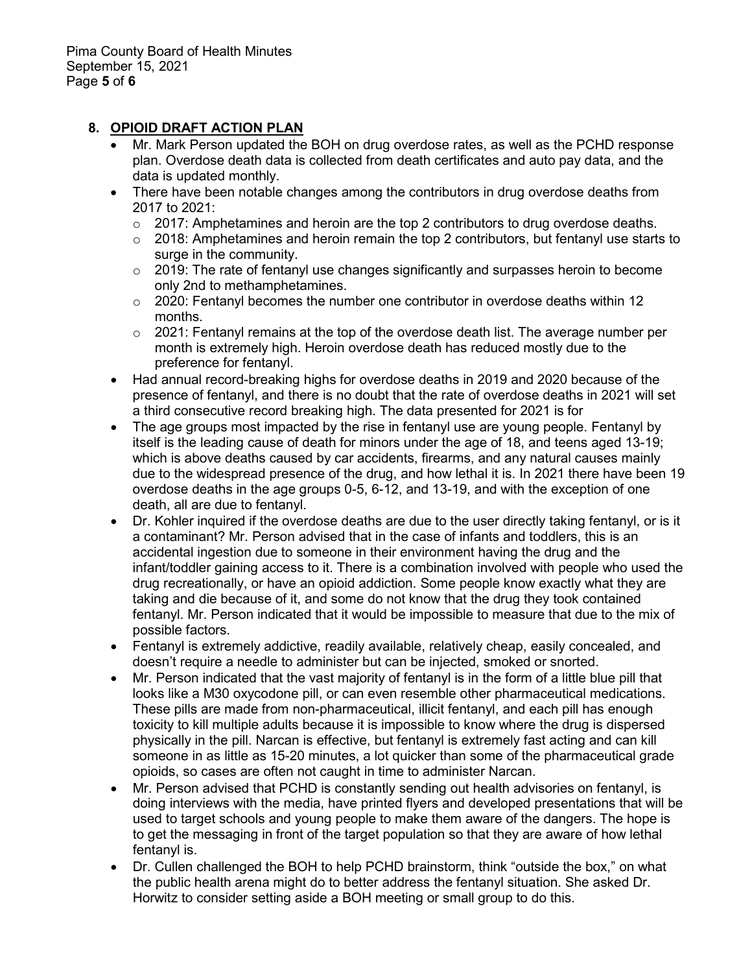## **8. OPIOID DRAFT ACTION PLAN**

- Mr. Mark Person updated the BOH on drug overdose rates, as well as the PCHD response plan. Overdose death data is collected from death certificates and auto pay data, and the data is updated monthly.
- There have been notable changes among the contributors in drug overdose deaths from 2017 to 2021:
	- $\circ$  2017: Amphetamines and heroin are the top 2 contributors to drug overdose deaths.
	- $\circ$  2018: Amphetamines and heroin remain the top 2 contributors, but fentanyl use starts to surge in the community.
	- $\circ$  2019: The rate of fentanyl use changes significantly and surpasses heroin to become only 2nd to methamphetamines.
	- $\circ$  2020: Fentanyl becomes the number one contributor in overdose deaths within 12 months.
	- $\circ$  2021: Fentanyl remains at the top of the overdose death list. The average number per month is extremely high. Heroin overdose death has reduced mostly due to the preference for fentanyl.
- Had annual record-breaking highs for overdose deaths in 2019 and 2020 because of the presence of fentanyl, and there is no doubt that the rate of overdose deaths in 2021 will set a third consecutive record breaking high. The data presented for 2021 is for
- The age groups most impacted by the rise in fentanyl use are young people. Fentanyl by itself is the leading cause of death for minors under the age of 18, and teens aged 13-19; which is above deaths caused by car accidents, firearms, and any natural causes mainly due to the widespread presence of the drug, and how lethal it is. In 2021 there have been 19 overdose deaths in the age groups 0-5, 6-12, and 13-19, and with the exception of one death, all are due to fentanyl.
- Dr. Kohler inquired if the overdose deaths are due to the user directly taking fentanyl, or is it a contaminant? Mr. Person advised that in the case of infants and toddlers, this is an accidental ingestion due to someone in their environment having the drug and the infant/toddler gaining access to it. There is a combination involved with people who used the drug recreationally, or have an opioid addiction. Some people know exactly what they are taking and die because of it, and some do not know that the drug they took contained fentanyl. Mr. Person indicated that it would be impossible to measure that due to the mix of possible factors.
- Fentanyl is extremely addictive, readily available, relatively cheap, easily concealed, and doesn't require a needle to administer but can be injected, smoked or snorted.
- Mr. Person indicated that the vast majority of fentanyl is in the form of a little blue pill that looks like a M30 oxycodone pill, or can even resemble other pharmaceutical medications. These pills are made from non-pharmaceutical, illicit fentanyl, and each pill has enough toxicity to kill multiple adults because it is impossible to know where the drug is dispersed physically in the pill. Narcan is effective, but fentanyl is extremely fast acting and can kill someone in as little as 15-20 minutes, a lot quicker than some of the pharmaceutical grade opioids, so cases are often not caught in time to administer Narcan.
- Mr. Person advised that PCHD is constantly sending out health advisories on fentanyl, is doing interviews with the media, have printed flyers and developed presentations that will be used to target schools and young people to make them aware of the dangers. The hope is to get the messaging in front of the target population so that they are aware of how lethal fentanyl is.
- Dr. Cullen challenged the BOH to help PCHD brainstorm, think "outside the box," on what the public health arena might do to better address the fentanyl situation. She asked Dr. Horwitz to consider setting aside a BOH meeting or small group to do this.